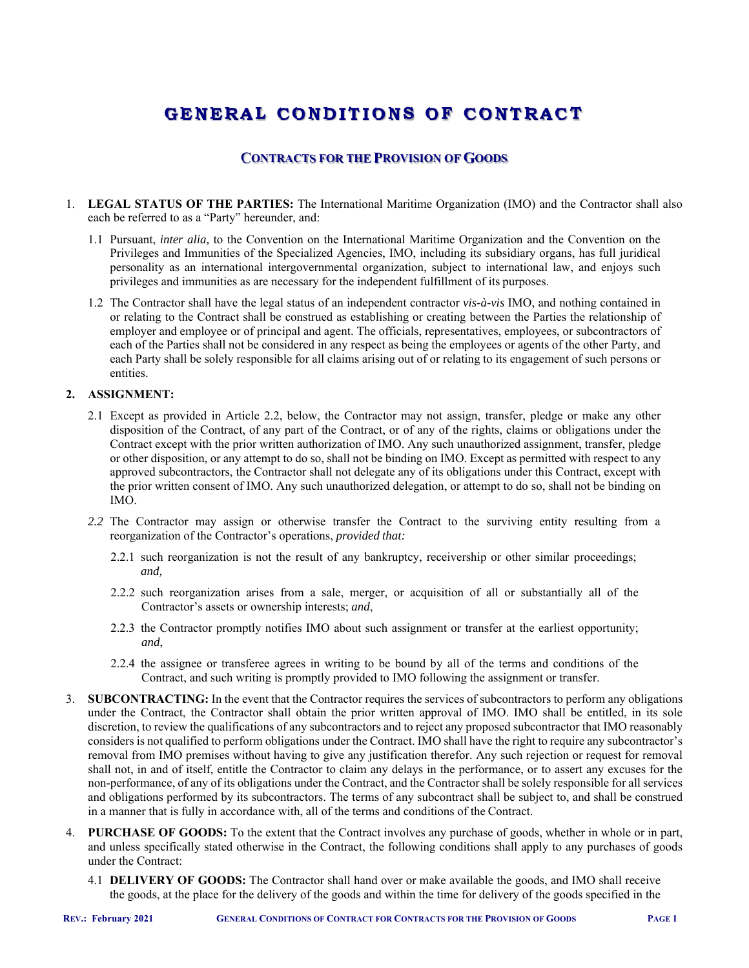# **GENERAL C O NDI T I O NS O F C O NTRACT**

# **CONTRACTS FOR THE PROVISION OF GOODS**

- 1. **LEGAL STATUS OF THE PARTIES:** The International Maritime Organization (IMO) and the Contractor shall also each be referred to as a "Party" hereunder, and:
	- 1.1 Pursuant, *inter alia,* to the Convention on the International Maritime Organization and the Convention on the Privileges and Immunities of the Specialized Agencies, IMO, including its subsidiary organs, has full juridical personality as an international intergovernmental organization, subject to international law, and enjoys such privileges and immunities as are necessary for the independent fulfillment of its purposes.
	- 1.2 The Contractor shall have the legal status of an independent contractor *vis-à-vis* IMO, and nothing contained in or relating to the Contract shall be construed as establishing or creating between the Parties the relationship of employer and employee or of principal and agent. The officials, representatives, employees, or subcontractors of each of the Parties shall not be considered in any respect as being the employees or agents of the other Party, and each Party shall be solely responsible for all claims arising out of or relating to its engagement of such persons or entities.

#### **2. ASSIGNMENT:**

- 2.1 Except as provided in Article 2.2, below, the Contractor may not assign, transfer, pledge or make any other disposition of the Contract, of any part of the Contract, or of any of the rights, claims or obligations under the Contract except with the prior written authorization of IMO. Any such unauthorized assignment, transfer, pledge or other disposition, or any attempt to do so, shall not be binding on IMO. Except as permitted with respect to any approved subcontractors, the Contractor shall not delegate any of its obligations under this Contract, except with the prior written consent of IMO. Any such unauthorized delegation, or attempt to do so, shall not be binding on IMO.
- *2.2* The Contractor may assign or otherwise transfer the Contract to the surviving entity resulting from a reorganization of the Contractor's operations, *provided that:* 
	- 2.2.1 such reorganization is not the result of any bankruptcy, receivership or other similar proceedings; *and,*
	- 2.2.2 such reorganization arises from a sale, merger, or acquisition of all or substantially all of the Contractor's assets or ownership interests; *and*,
	- 2.2.3 the Contractor promptly notifies IMO about such assignment or transfer at the earliest opportunity; *and*,
	- 2.2.4 the assignee or transferee agrees in writing to be bound by all of the terms and conditions of the Contract, and such writing is promptly provided to IMO following the assignment or transfer.
- 3. **SUBCONTRACTING:** In the event that the Contractor requires the services of subcontractors to perform any obligations under the Contract, the Contractor shall obtain the prior written approval of IMO. IMO shall be entitled, in its sole discretion, to review the qualifications of any subcontractors and to reject any proposed subcontractor that IMO reasonably considers is not qualified to perform obligations under the Contract. IMO shall have the right to require any subcontractor's removal from IMO premises without having to give any justification therefor. Any such rejection or request for removal shall not, in and of itself, entitle the Contractor to claim any delays in the performance, or to assert any excuses for the non-performance, of any of its obligations under the Contract, and the Contractor shall be solely responsible for all services and obligations performed by its subcontractors. The terms of any subcontract shall be subject to, and shall be construed in a manner that is fully in accordance with, all of the terms and conditions of the Contract.
- 4. **PURCHASE OF GOODS:** To the extent that the Contract involves any purchase of goods, whether in whole or in part, and unless specifically stated otherwise in the Contract, the following conditions shall apply to any purchases of goods under the Contract:
	- 4.1 **DELIVERY OF GOODS:** The Contractor shall hand over or make available the goods, and IMO shall receive the goods, at the place for the delivery of the goods and within the time for delivery of the goods specified in the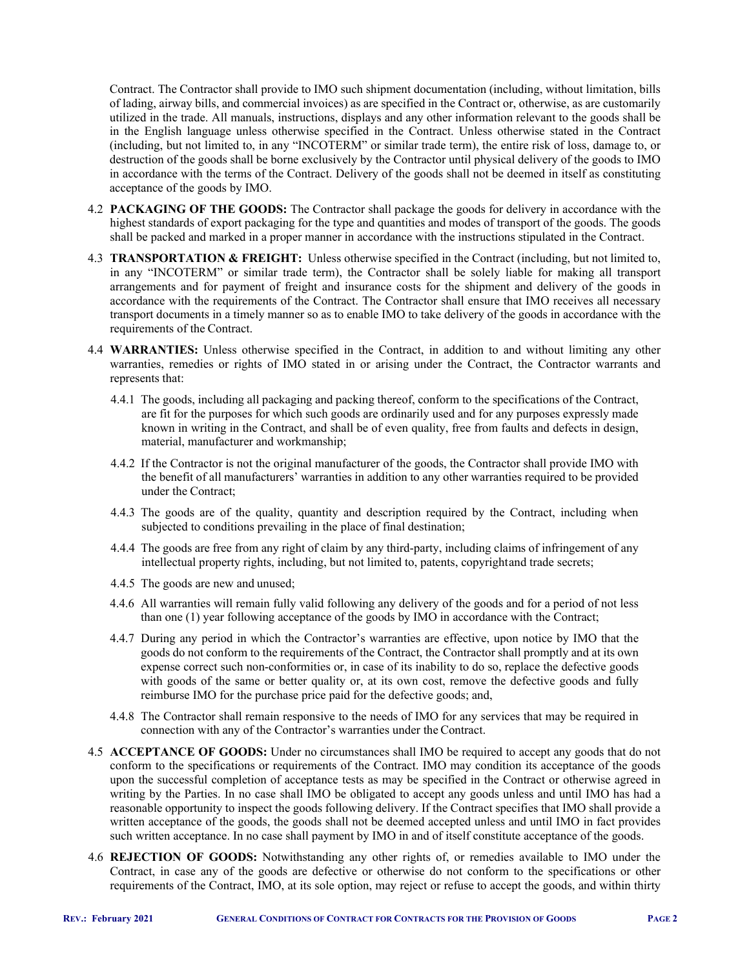Contract. The Contractor shall provide to IMO such shipment documentation (including, without limitation, bills of lading, airway bills, and commercial invoices) as are specified in the Contract or, otherwise, as are customarily utilized in the trade. All manuals, instructions, displays and any other information relevant to the goods shall be in the English language unless otherwise specified in the Contract. Unless otherwise stated in the Contract (including, but not limited to, in any "INCOTERM" or similar trade term), the entire risk of loss, damage to, or destruction of the goods shall be borne exclusively by the Contractor until physical delivery of the goods to IMO in accordance with the terms of the Contract. Delivery of the goods shall not be deemed in itself as constituting acceptance of the goods by IMO.

- 4.2 **PACKAGING OF THE GOODS:** The Contractor shall package the goods for delivery in accordance with the highest standards of export packaging for the type and quantities and modes of transport of the goods. The goods shall be packed and marked in a proper manner in accordance with the instructions stipulated in the Contract.
- 4.3 **TRANSPORTATION & FREIGHT:** Unless otherwise specified in the Contract (including, but not limited to, in any "INCOTERM" or similar trade term), the Contractor shall be solely liable for making all transport arrangements and for payment of freight and insurance costs for the shipment and delivery of the goods in accordance with the requirements of the Contract. The Contractor shall ensure that IMO receives all necessary transport documents in a timely manner so as to enable IMO to take delivery of the goods in accordance with the requirements of the Contract.
- 4.4 **WARRANTIES:** Unless otherwise specified in the Contract, in addition to and without limiting any other warranties, remedies or rights of IMO stated in or arising under the Contract, the Contractor warrants and represents that:
	- 4.4.1 The goods, including all packaging and packing thereof, conform to the specifications of the Contract, are fit for the purposes for which such goods are ordinarily used and for any purposes expressly made known in writing in the Contract, and shall be of even quality, free from faults and defects in design, material, manufacturer and workmanship;
	- 4.4.2 If the Contractor is not the original manufacturer of the goods, the Contractor shall provide IMO with the benefit of all manufacturers' warranties in addition to any other warranties required to be provided under the Contract;
	- 4.4.3 The goods are of the quality, quantity and description required by the Contract, including when subjected to conditions prevailing in the place of final destination;
	- 4.4.4 The goods are free from any right of claim by any third-party, including claims of infringement of any intellectual property rights, including, but not limited to, patents, copyright and trade secrets;
	- 4.4.5 The goods are new and unused;
	- 4.4.6 All warranties will remain fully valid following any delivery of the goods and for a period of not less than one (1) year following acceptance of the goods by IMO in accordance with the Contract;
	- 4.4.7 During any period in which the Contractor's warranties are effective, upon notice by IMO that the goods do not conform to the requirements of the Contract, the Contractor shall promptly and at its own expense correct such non-conformities or, in case of its inability to do so, replace the defective goods with goods of the same or better quality or, at its own cost, remove the defective goods and fully reimburse IMO for the purchase price paid for the defective goods; and,
	- 4.4.8 The Contractor shall remain responsive to the needs of IMO for any services that may be required in connection with any of the Contractor's warranties under the Contract.
- 4.5 **ACCEPTANCE OF GOODS:** Under no circumstances shall IMO be required to accept any goods that do not conform to the specifications or requirements of the Contract. IMO may condition its acceptance of the goods upon the successful completion of acceptance tests as may be specified in the Contract or otherwise agreed in writing by the Parties. In no case shall IMO be obligated to accept any goods unless and until IMO has had a reasonable opportunity to inspect the goods following delivery. If the Contract specifies that IMO shall provide a written acceptance of the goods, the goods shall not be deemed accepted unless and until IMO in fact provides such written acceptance. In no case shall payment by IMO in and of itself constitute acceptance of the goods.
- 4.6 **REJECTION OF GOODS:** Notwithstanding any other rights of, or remedies available to IMO under the Contract, in case any of the goods are defective or otherwise do not conform to the specifications or other requirements of the Contract, IMO, at its sole option, may reject or refuse to accept the goods, and within thirty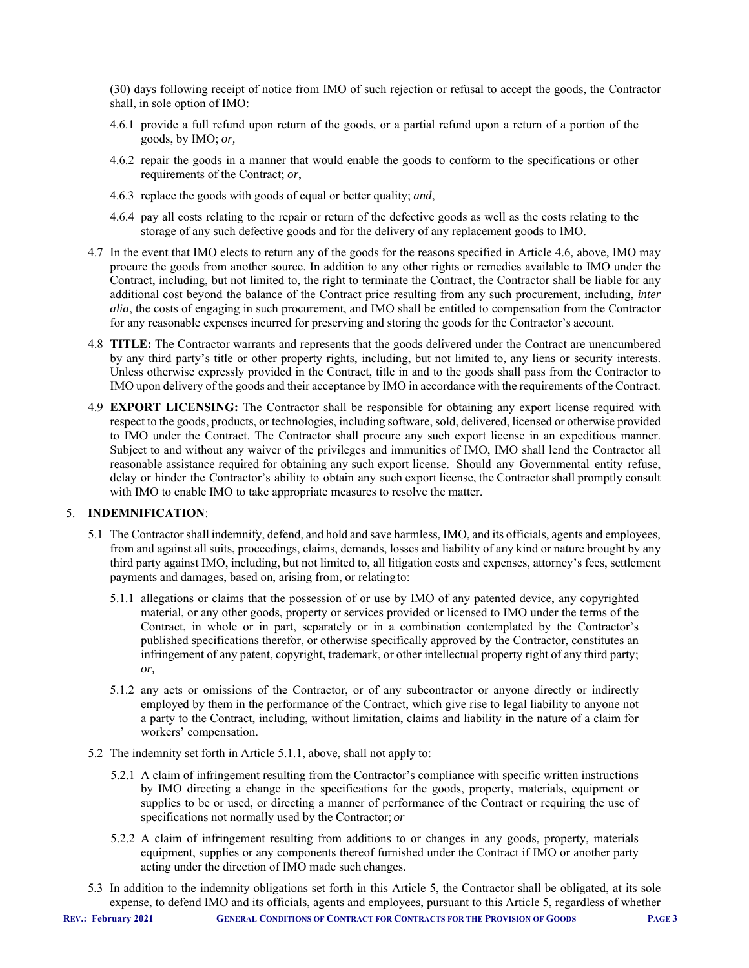(30) days following receipt of notice from IMO of such rejection or refusal to accept the goods, the Contractor shall, in sole option of IMO:

- 4.6.1 provide a full refund upon return of the goods, or a partial refund upon a return of a portion of the goods, by IMO; *or,*
- 4.6.2 repair the goods in a manner that would enable the goods to conform to the specifications or other requirements of the Contract; *or*,
- 4.6.3 replace the goods with goods of equal or better quality; *and*,
- 4.6.4 pay all costs relating to the repair or return of the defective goods as well as the costs relating to the storage of any such defective goods and for the delivery of any replacement goods to IMO.
- 4.7 In the event that IMO elects to return any of the goods for the reasons specified in Article 4.6, above, IMO may procure the goods from another source. In addition to any other rights or remedies available to IMO under the Contract, including, but not limited to, the right to terminate the Contract, the Contractor shall be liable for any additional cost beyond the balance of the Contract price resulting from any such procurement, including, *inter alia*, the costs of engaging in such procurement, and IMO shall be entitled to compensation from the Contractor for any reasonable expenses incurred for preserving and storing the goods for the Contractor's account.
- 4.8 **TITLE:** The Contractor warrants and represents that the goods delivered under the Contract are unencumbered by any third party's title or other property rights, including, but not limited to, any liens or security interests. Unless otherwise expressly provided in the Contract, title in and to the goods shall pass from the Contractor to IMO upon delivery of the goods and their acceptance by IMO in accordance with the requirements of the Contract.
- 4.9 **EXPORT LICENSING:** The Contractor shall be responsible for obtaining any export license required with respect to the goods, products, or technologies, including software, sold, delivered, licensed or otherwise provided to IMO under the Contract. The Contractor shall procure any such export license in an expeditious manner. Subject to and without any waiver of the privileges and immunities of IMO, IMO shall lend the Contractor all reasonable assistance required for obtaining any such export license. Should any Governmental entity refuse, delay or hinder the Contractor's ability to obtain any such export license, the Contractor shall promptly consult with IMO to enable IMO to take appropriate measures to resolve the matter.

# 5. **INDEMNIFICATION**:

- 5.1 The Contractor shall indemnify, defend, and hold and save harmless, IMO, and its officials, agents and employees, from and against all suits, proceedings, claims, demands, losses and liability of any kind or nature brought by any third party against IMO, including, but not limited to, all litigation costs and expenses, attorney's fees, settlement payments and damages, based on, arising from, or relating to:
	- 5.1.1 allegations or claims that the possession of or use by IMO of any patented device, any copyrighted material, or any other goods, property or services provided or licensed to IMO under the terms of the Contract, in whole or in part, separately or in a combination contemplated by the Contractor's published specifications therefor, or otherwise specifically approved by the Contractor, constitutes an infringement of any patent, copyright, trademark, or other intellectual property right of any third party; *or,*
	- 5.1.2 any acts or omissions of the Contractor, or of any subcontractor or anyone directly or indirectly employed by them in the performance of the Contract, which give rise to legal liability to anyone not a party to the Contract, including, without limitation, claims and liability in the nature of a claim for workers' compensation.
- 5.2 The indemnity set forth in Article 5.1.1, above, shall not apply to:
	- 5.2.1 A claim of infringement resulting from the Contractor's compliance with specific written instructions by IMO directing a change in the specifications for the goods, property, materials, equipment or supplies to be or used, or directing a manner of performance of the Contract or requiring the use of specifications not normally used by the Contractor; *or*
	- 5.2.2 A claim of infringement resulting from additions to or changes in any goods, property, materials equipment, supplies or any components thereof furnished under the Contract if IMO or another party acting under the direction of IMO made such changes.
- 5.3 In addition to the indemnity obligations set forth in this Article 5, the Contractor shall be obligated, at its sole expense, to defend IMO and its officials, agents and employees, pursuant to this Article 5, regardless of whether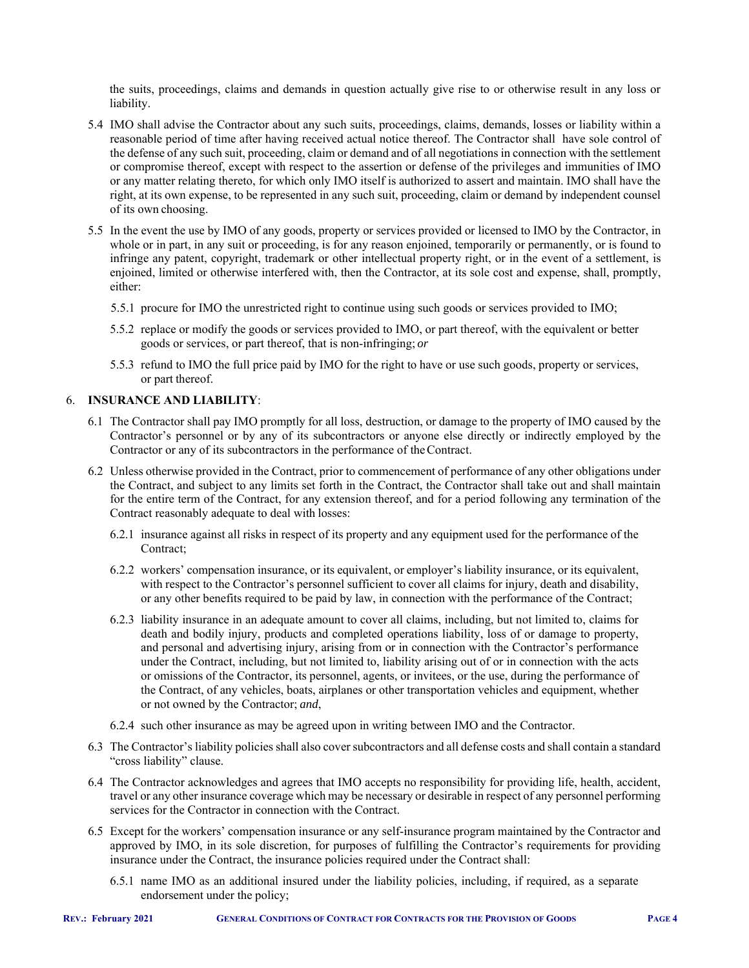the suits, proceedings, claims and demands in question actually give rise to or otherwise result in any loss or liability.

- 5.4 IMO shall advise the Contractor about any such suits, proceedings, claims, demands, losses or liability within a reasonable period of time after having received actual notice thereof. The Contractor shall have sole control of the defense of any such suit, proceeding, claim or demand and of all negotiations in connection with the settlement or compromise thereof, except with respect to the assertion or defense of the privileges and immunities of IMO or any matter relating thereto, for which only IMO itself is authorized to assert and maintain. IMO shall have the right, at its own expense, to be represented in any such suit, proceeding, claim or demand by independent counsel of its own choosing.
- 5.5 In the event the use by IMO of any goods, property or services provided or licensed to IMO by the Contractor, in whole or in part, in any suit or proceeding, is for any reason enjoined, temporarily or permanently, or is found to infringe any patent, copyright, trademark or other intellectual property right, or in the event of a settlement, is enjoined, limited or otherwise interfered with, then the Contractor, at its sole cost and expense, shall, promptly, either:
	- 5.5.1 procure for IMO the unrestricted right to continue using such goods or services provided to IMO;
	- 5.5.2 replace or modify the goods or services provided to IMO, or part thereof, with the equivalent or better goods or services, or part thereof, that is non-infringing; *or*
	- 5.5.3 refund to IMO the full price paid by IMO for the right to have or use such goods, property or services, or part thereof.

# 6. **INSURANCE AND LIABILITY**:

- 6.1 The Contractor shall pay IMO promptly for all loss, destruction, or damage to the property of IMO caused by the Contractor's personnel or by any of its subcontractors or anyone else directly or indirectly employed by the Contractor or any of its subcontractors in the performance of the Contract.
- 6.2 Unless otherwise provided in the Contract, prior to commencement of performance of any other obligations under the Contract, and subject to any limits set forth in the Contract, the Contractor shall take out and shall maintain for the entire term of the Contract, for any extension thereof, and for a period following any termination of the Contract reasonably adequate to deal with losses:
	- 6.2.1 insurance against all risks in respect of its property and any equipment used for the performance of the Contract;
	- 6.2.2 workers' compensation insurance, or its equivalent, or employer's liability insurance, or its equivalent, with respect to the Contractor's personnel sufficient to cover all claims for injury, death and disability, or any other benefits required to be paid by law, in connection with the performance of the Contract;
	- 6.2.3 liability insurance in an adequate amount to cover all claims, including, but not limited to, claims for death and bodily injury, products and completed operations liability, loss of or damage to property, and personal and advertising injury, arising from or in connection with the Contractor's performance under the Contract, including, but not limited to, liability arising out of or in connection with the acts or omissions of the Contractor, its personnel, agents, or invitees, or the use, during the performance of the Contract, of any vehicles, boats, airplanes or other transportation vehicles and equipment, whether or not owned by the Contractor; *and*,
	- 6.2.4 such other insurance as may be agreed upon in writing between IMO and the Contractor.
- 6.3 The Contractor's liability policies shall also cover subcontractors and all defense costs and shall contain a standard "cross liability" clause.
- 6.4 The Contractor acknowledges and agrees that IMO accepts no responsibility for providing life, health, accident, travel or any other insurance coverage which may be necessary or desirable in respect of any personnel performing services for the Contractor in connection with the Contract.
- 6.5 Except for the workers' compensation insurance or any self-insurance program maintained by the Contractor and approved by IMO, in its sole discretion, for purposes of fulfilling the Contractor's requirements for providing insurance under the Contract, the insurance policies required under the Contract shall:
	- 6.5.1 name IMO as an additional insured under the liability policies, including, if required, as a separate endorsement under the policy;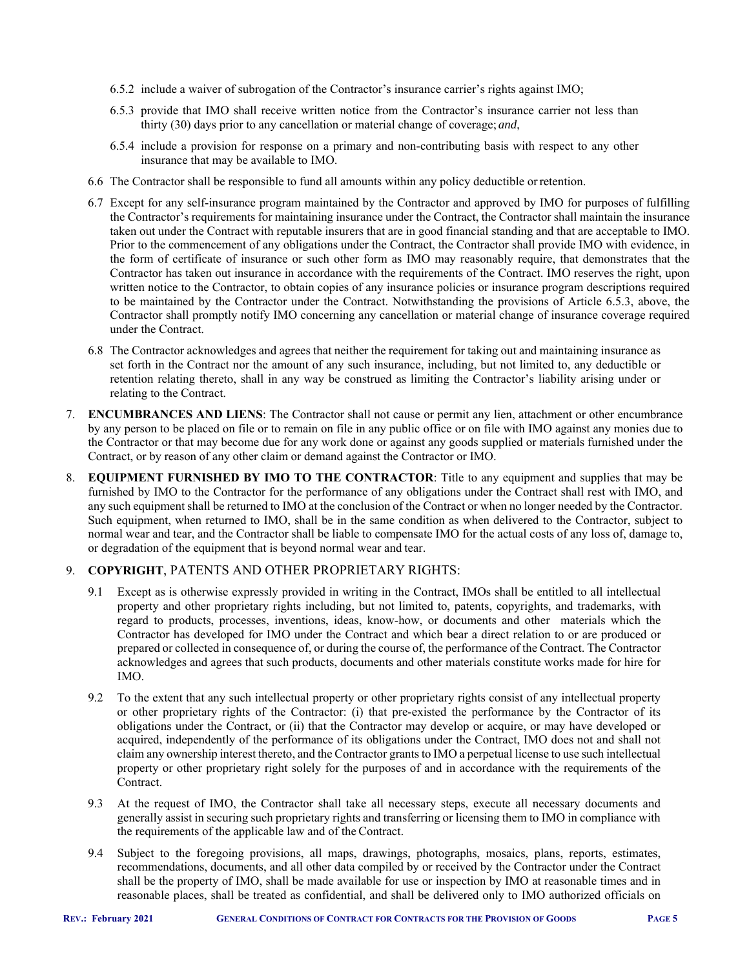- 6.5.2 include a waiver of subrogation of the Contractor's insurance carrier's rights against IMO;
- 6.5.3 provide that IMO shall receive written notice from the Contractor's insurance carrier not less than thirty (30) days prior to any cancellation or material change of coverage; *and*,
- 6.5.4 include a provision for response on a primary and non-contributing basis with respect to any other insurance that may be available to IMO.
- 6.6 The Contractor shall be responsible to fund all amounts within any policy deductible or retention.
- 6.7 Except for any self-insurance program maintained by the Contractor and approved by IMO for purposes of fulfilling the Contractor's requirements for maintaining insurance under the Contract, the Contractor shall maintain the insurance taken out under the Contract with reputable insurers that are in good financial standing and that are acceptable to IMO. Prior to the commencement of any obligations under the Contract, the Contractor shall provide IMO with evidence, in the form of certificate of insurance or such other form as IMO may reasonably require, that demonstrates that the Contractor has taken out insurance in accordance with the requirements of the Contract. IMO reserves the right, upon written notice to the Contractor, to obtain copies of any insurance policies or insurance program descriptions required to be maintained by the Contractor under the Contract. Notwithstanding the provisions of Article 6.5.3, above, the Contractor shall promptly notify IMO concerning any cancellation or material change of insurance coverage required under the Contract.
- 6.8 The Contractor acknowledges and agrees that neither the requirement for taking out and maintaining insurance as set forth in the Contract nor the amount of any such insurance, including, but not limited to, any deductible or retention relating thereto, shall in any way be construed as limiting the Contractor's liability arising under or relating to the Contract.
- 7. **ENCUMBRANCES AND LIENS**: The Contractor shall not cause or permit any lien, attachment or other encumbrance by any person to be placed on file or to remain on file in any public office or on file with IMO against any monies due to the Contractor or that may become due for any work done or against any goods supplied or materials furnished under the Contract, or by reason of any other claim or demand against the Contractor or IMO.
- 8. **EQUIPMENT FURNISHED BY IMO TO THE CONTRACTOR**: Title to any equipment and supplies that may be furnished by IMO to the Contractor for the performance of any obligations under the Contract shall rest with IMO, and any such equipment shall be returned to IMO at the conclusion of the Contract or when no longer needed by the Contractor. Such equipment, when returned to IMO, shall be in the same condition as when delivered to the Contractor, subject to normal wear and tear, and the Contractor shall be liable to compensate IMO for the actual costs of any loss of, damage to, or degradation of the equipment that is beyond normal wear and tear.

# 9. **COPYRIGHT**, PATENTS AND OTHER PROPRIETARY RIGHTS:

- 9.1 Except as is otherwise expressly provided in writing in the Contract, IMOs shall be entitled to all intellectual property and other proprietary rights including, but not limited to, patents, copyrights, and trademarks, with regard to products, processes, inventions, ideas, know-how, or documents and other materials which the Contractor has developed for IMO under the Contract and which bear a direct relation to or are produced or prepared or collected in consequence of, or during the course of, the performance of the Contract. The Contractor acknowledges and agrees that such products, documents and other materials constitute works made for hire for IMO.
- 9.2 To the extent that any such intellectual property or other proprietary rights consist of any intellectual property or other proprietary rights of the Contractor: (i) that pre-existed the performance by the Contractor of its obligations under the Contract, or (ii) that the Contractor may develop or acquire, or may have developed or acquired, independently of the performance of its obligations under the Contract, IMO does not and shall not claim any ownership interest thereto, and the Contractor grants to IMO a perpetual license to use such intellectual property or other proprietary right solely for the purposes of and in accordance with the requirements of the Contract.
- 9.3 At the request of IMO, the Contractor shall take all necessary steps, execute all necessary documents and generally assist in securing such proprietary rights and transferring or licensing them to IMO in compliance with the requirements of the applicable law and of the Contract.
- 9.4 Subject to the foregoing provisions, all maps, drawings, photographs, mosaics, plans, reports, estimates, recommendations, documents, and all other data compiled by or received by the Contractor under the Contract shall be the property of IMO, shall be made available for use or inspection by IMO at reasonable times and in reasonable places, shall be treated as confidential, and shall be delivered only to IMO authorized officials on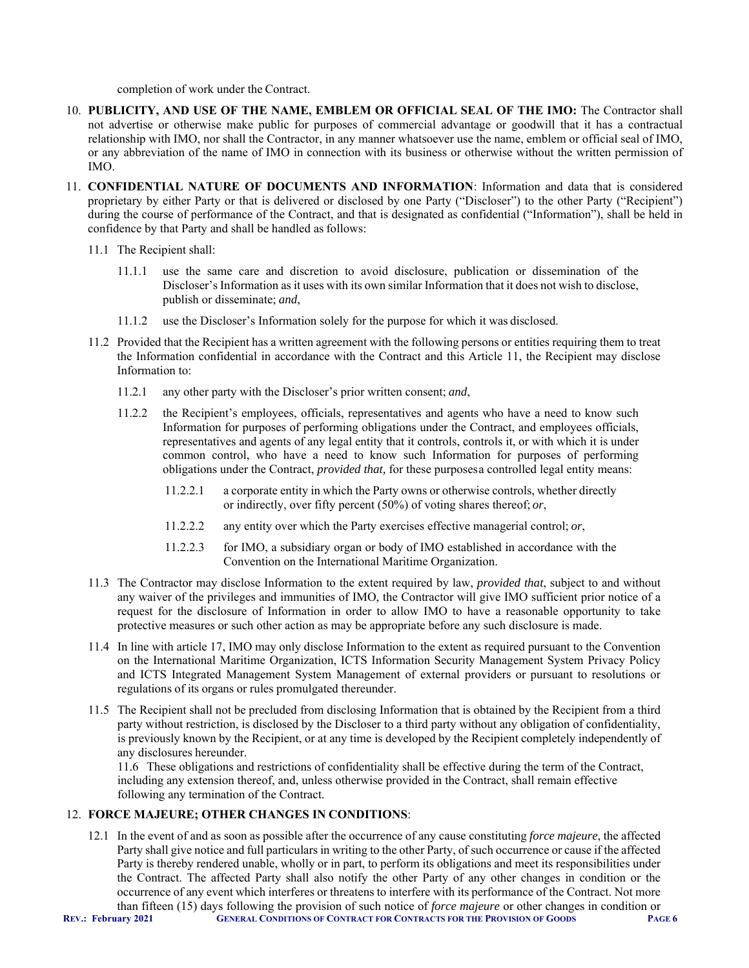completion of work under the Contract.

- 10. **PUBLICITY, AND USE OF THE NAME, EMBLEM OR OFFICIAL SEAL OF THE IMO:** The Contractor shall not advertise or otherwise make public for purposes of commercial advantage or goodwill that it has a contractual relationship with IMO, nor shall the Contractor, in any manner whatsoever use the name, emblem or official seal of IMO, or any abbreviation of the name of IMO in connection with its business or otherwise without the written permission of IMO.
- 11. **CONFIDENTIAL NATURE OF DOCUMENTS AND INFORMATION**: Information and data that is considered proprietary by either Party or that is delivered or disclosed by one Party ("Discloser") to the other Party ("Recipient") during the course of performance of the Contract, and that is designated as confidential ("Information"), shall be held in confidence by that Party and shall be handled as follows:
	- 11.1 The Recipient shall:
		- 11.1.1 use the same care and discretion to avoid disclosure, publication or dissemination of the Discloser's Information as it uses with its own similar Information that it does not wish to disclose, publish or disseminate; *and*,
		- 11.1.2 use the Discloser's Information solely for the purpose for which it was disclosed.
	- 11.2 Provided that the Recipient has a written agreement with the following persons or entities requiring them to treat the Information confidential in accordance with the Contract and this Article 11, the Recipient may disclose Information to:
		- 11.2.1 any other party with the Discloser's prior written consent; *and*,
		- 11.2.2 the Recipient's employees, officials, representatives and agents who have a need to know such Information for purposes of performing obligations under the Contract, and employees officials, representatives and agents of any legal entity that it controls, controls it, or with which it is under common control, who have a need to know such Information for purposes of performing obligations under the Contract, *provided that,* for these purposes a controlled legal entity means:
			- 11.2.2.1 a corporate entity in which the Party owns or otherwise controls, whether directly or indirectly, over fifty percent (50%) of voting shares thereof; *or*,
			- 11.2.2.2 any entity over which the Party exercises effective managerial control; *or*,
			- 11.2.2.3 for IMO, a subsidiary organ or body of IMO established in accordance with the Convention on the International Maritime Organization.
	- 11.3 The Contractor may disclose Information to the extent required by law, *provided that*, subject to and without any waiver of the privileges and immunities of IMO, the Contractor will give IMO sufficient prior notice of a request for the disclosure of Information in order to allow IMO to have a reasonable opportunity to take protective measures or such other action as may be appropriate before any such disclosure is made.
	- 11.4 In line with article 17, IMO may only disclose Information to the extent as required pursuant to the Convention on the International Maritime Organization, ICTS Information Security Management System Privacy Policy and ICTS Integrated Management System Management of external providers or pursuant to resolutions or regulations of its organs or rules promulgated thereunder.
	- 11.5 The Recipient shall not be precluded from disclosing Information that is obtained by the Recipient from a third party without restriction, is disclosed by the Discloser to a third party without any obligation of confidentiality, is previously known by the Recipient, or at any time is developed by the Recipient completely independently of any disclosures hereunder.

11.6 These obligations and restrictions of confidentiality shall be effective during the term of the Contract, including any extension thereof, and, unless otherwise provided in the Contract, shall remain effective following any termination of the Contract.

# 12. **FORCE MAJEURE; OTHER CHANGES IN CONDITIONS**:

**REV.: February 2021 GENERAL CONDITIONS OF CONTRACT FOR CONTRACTS FOR THE PROVISION OF GOODS PAGE 6** 12.1 In the event of and as soon as possible after the occurrence of any cause constituting *force majeure*, the affected Party shall give notice and full particulars in writing to the other Party, of such occurrence or cause if the affected Party is thereby rendered unable, wholly or in part, to perform its obligations and meet its responsibilities under the Contract. The affected Party shall also notify the other Party of any other changes in condition or the occurrence of any event which interferes or threatens to interfere with its performance of the Contract. Not more than fifteen (15) days following the provision of such notice of *force majeure* or other changes in condition or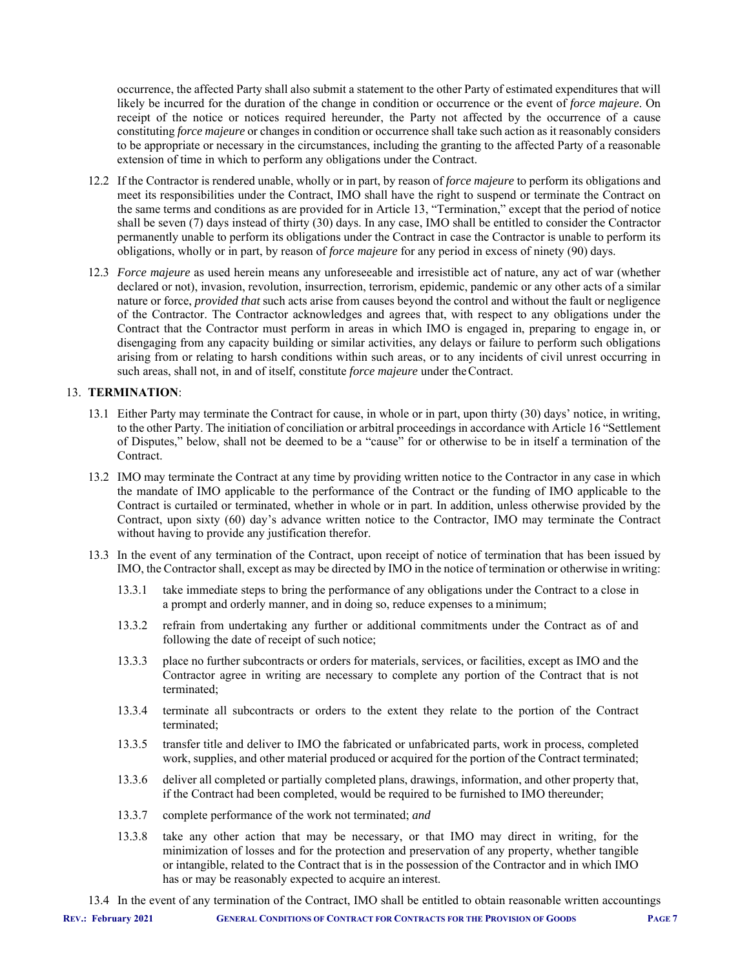occurrence, the affected Party shall also submit a statement to the other Party of estimated expenditures that will likely be incurred for the duration of the change in condition or occurrence or the event of *force majeure*. On receipt of the notice or notices required hereunder, the Party not affected by the occurrence of a cause constituting *force majeure* or changes in condition or occurrence shall take such action as it reasonably considers to be appropriate or necessary in the circumstances, including the granting to the affected Party of a reasonable extension of time in which to perform any obligations under the Contract.

- 12.2 If the Contractor is rendered unable, wholly or in part, by reason of *force majeure* to perform its obligations and meet its responsibilities under the Contract, IMO shall have the right to suspend or terminate the Contract on the same terms and conditions as are provided for in Article 13, "Termination," except that the period of notice shall be seven (7) days instead of thirty (30) days. In any case, IMO shall be entitled to consider the Contractor permanently unable to perform its obligations under the Contract in case the Contractor is unable to perform its obligations, wholly or in part, by reason of *force majeure* for any period in excess of ninety (90) days.
- 12.3 *Force majeure* as used herein means any unforeseeable and irresistible act of nature, any act of war (whether declared or not), invasion, revolution, insurrection, terrorism, epidemic, pandemic or any other acts of a similar nature or force, *provided that* such acts arise from causes beyond the control and without the fault or negligence of the Contractor. The Contractor acknowledges and agrees that, with respect to any obligations under the Contract that the Contractor must perform in areas in which IMO is engaged in, preparing to engage in, or disengaging from any capacity building or similar activities, any delays or failure to perform such obligations arising from or relating to harsh conditions within such areas, or to any incidents of civil unrest occurring in such areas, shall not, in and of itself, constitute *force majeure* under the Contract.

#### 13. **TERMINATION**:

- 13.1 Either Party may terminate the Contract for cause, in whole or in part, upon thirty (30) days' notice, in writing, to the other Party. The initiation of conciliation or arbitral proceedings in accordance with Article 16 "Settlement of Disputes," below, shall not be deemed to be a "cause" for or otherwise to be in itself a termination of the Contract.
- 13.2 IMO may terminate the Contract at any time by providing written notice to the Contractor in any case in which the mandate of IMO applicable to the performance of the Contract or the funding of IMO applicable to the Contract is curtailed or terminated, whether in whole or in part. In addition, unless otherwise provided by the Contract, upon sixty (60) day's advance written notice to the Contractor, IMO may terminate the Contract without having to provide any justification therefor.
- 13.3 In the event of any termination of the Contract, upon receipt of notice of termination that has been issued by IMO, the Contractor shall, except as may be directed by IMO in the notice of termination or otherwise in writing:
	- 13.3.1 take immediate steps to bring the performance of any obligations under the Contract to a close in a prompt and orderly manner, and in doing so, reduce expenses to a minimum;
	- 13.3.2 refrain from undertaking any further or additional commitments under the Contract as of and following the date of receipt of such notice;
	- 13.3.3 place no further subcontracts or orders for materials, services, or facilities, except as IMO and the Contractor agree in writing are necessary to complete any portion of the Contract that is not terminated;
	- 13.3.4 terminate all subcontracts or orders to the extent they relate to the portion of the Contract terminated;
	- 13.3.5 transfer title and deliver to IMO the fabricated or unfabricated parts, work in process, completed work, supplies, and other material produced or acquired for the portion of the Contract terminated;
	- 13.3.6 deliver all completed or partially completed plans, drawings, information, and other property that, if the Contract had been completed, would be required to be furnished to IMO thereunder;
	- 13.3.7 complete performance of the work not terminated; *and*
	- 13.3.8 take any other action that may be necessary, or that IMO may direct in writing, for the minimization of losses and for the protection and preservation of any property, whether tangible or intangible, related to the Contract that is in the possession of the Contractor and in which IMO has or may be reasonably expected to acquire an interest.
- 13.4 In the event of any termination of the Contract, IMO shall be entitled to obtain reasonable written accountings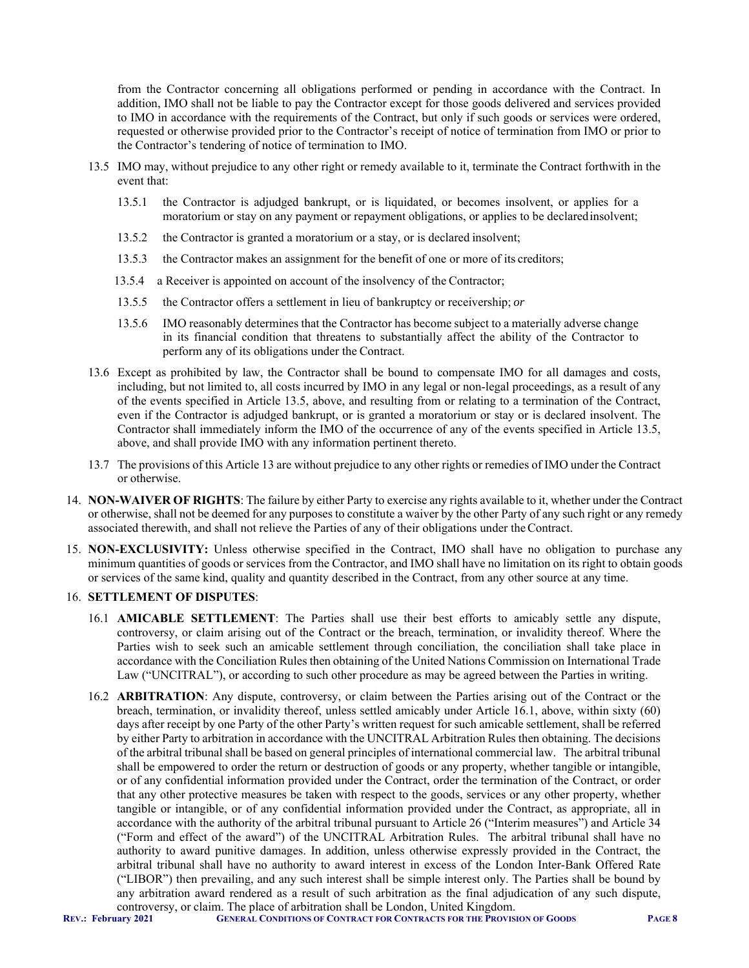from the Contractor concerning all obligations performed or pending in accordance with the Contract. In addition, IMO shall not be liable to pay the Contractor except for those goods delivered and services provided to IMO in accordance with the requirements of the Contract, but only if such goods or services were ordered, requested or otherwise provided prior to the Contractor's receipt of notice of termination from IMO or prior to the Contractor's tendering of notice of termination to IMO.

- 13.5 IMO may, without prejudice to any other right or remedy available to it, terminate the Contract forthwith in the event that:
	- 13.5.1 the Contractor is adjudged bankrupt, or is liquidated, or becomes insolvent, or applies for a moratorium or stay on any payment or repayment obligations, or applies to be declared insolvent;
	- 13.5.2 the Contractor is granted a moratorium or a stay, or is declared insolvent;
	- 13.5.3 the Contractor makes an assignment for the benefit of one or more of its creditors;
	- 13.5.4 a Receiver is appointed on account of the insolvency of the Contractor;
	- 13.5.5 the Contractor offers a settlement in lieu of bankruptcy or receivership; *or*
	- 13.5.6 IMO reasonably determines that the Contractor has become subject to a materially adverse change in its financial condition that threatens to substantially affect the ability of the Contractor to perform any of its obligations under the Contract.
- 13.6 Except as prohibited by law, the Contractor shall be bound to compensate IMO for all damages and costs, including, but not limited to, all costs incurred by IMO in any legal or non-legal proceedings, as a result of any of the events specified in Article 13.5, above, and resulting from or relating to a termination of the Contract, even if the Contractor is adjudged bankrupt, or is granted a moratorium or stay or is declared insolvent. The Contractor shall immediately inform the IMO of the occurrence of any of the events specified in Article 13.5, above, and shall provide IMO with any information pertinent thereto.
- 13.7 The provisions of this Article 13 are without prejudice to any other rights or remedies of IMO under the Contract or otherwise.
- 14. **NON-WAIVER OF RIGHTS**: The failure by either Party to exercise any rights available to it, whether under the Contract or otherwise, shall not be deemed for any purposes to constitute a waiver by the other Party of any such right or any remedy associated therewith, and shall not relieve the Parties of any of their obligations under the Contract.
- 15. **NON-EXCLUSIVITY:** Unless otherwise specified in the Contract, IMO shall have no obligation to purchase any minimum quantities of goods or services from the Contractor, and IMO shall have no limitation on its right to obtain goods or services of the same kind, quality and quantity described in the Contract, from any other source at any time.

# 16. **SETTLEMENT OF DISPUTES**:

- 16.1 **AMICABLE SETTLEMENT**: The Parties shall use their best efforts to amicably settle any dispute, controversy, or claim arising out of the Contract or the breach, termination, or invalidity thereof. Where the Parties wish to seek such an amicable settlement through conciliation, the conciliation shall take place in accordance with the Conciliation Rules then obtaining of the United Nations Commission on International Trade Law ("UNCITRAL"), or according to such other procedure as may be agreed between the Parties in writing.
- 16.2 **ARBITRATION**: Any dispute, controversy, or claim between the Parties arising out of the Contract or the breach, termination, or invalidity thereof, unless settled amicably under Article 16.1, above, within sixty (60) days after receipt by one Party of the other Party's written request for such amicable settlement, shall be referred by either Party to arbitration in accordance with the UNCITRAL Arbitration Rules then obtaining. The decisions of the arbitral tribunal shall be based on general principles of international commercial law. The arbitral tribunal shall be empowered to order the return or destruction of goods or any property, whether tangible or intangible, or of any confidential information provided under the Contract, order the termination of the Contract, or order that any other protective measures be taken with respect to the goods, services or any other property, whether tangible or intangible, or of any confidential information provided under the Contract, as appropriate, all in accordance with the authority of the arbitral tribunal pursuant to Article 26 ("Interim measures") and Article 34 ("Form and effect of the award") of the UNCITRAL Arbitration Rules. The arbitral tribunal shall have no authority to award punitive damages. In addition, unless otherwise expressly provided in the Contract, the arbitral tribunal shall have no authority to award interest in excess of the London Inter-Bank Offered Rate ("LIBOR") then prevailing, and any such interest shall be simple interest only. The Parties shall be bound by any arbitration award rendered as a result of such arbitration as the final adjudication of any such dispute, controversy, or claim. The place of arbitration shall be London, United Kingdom.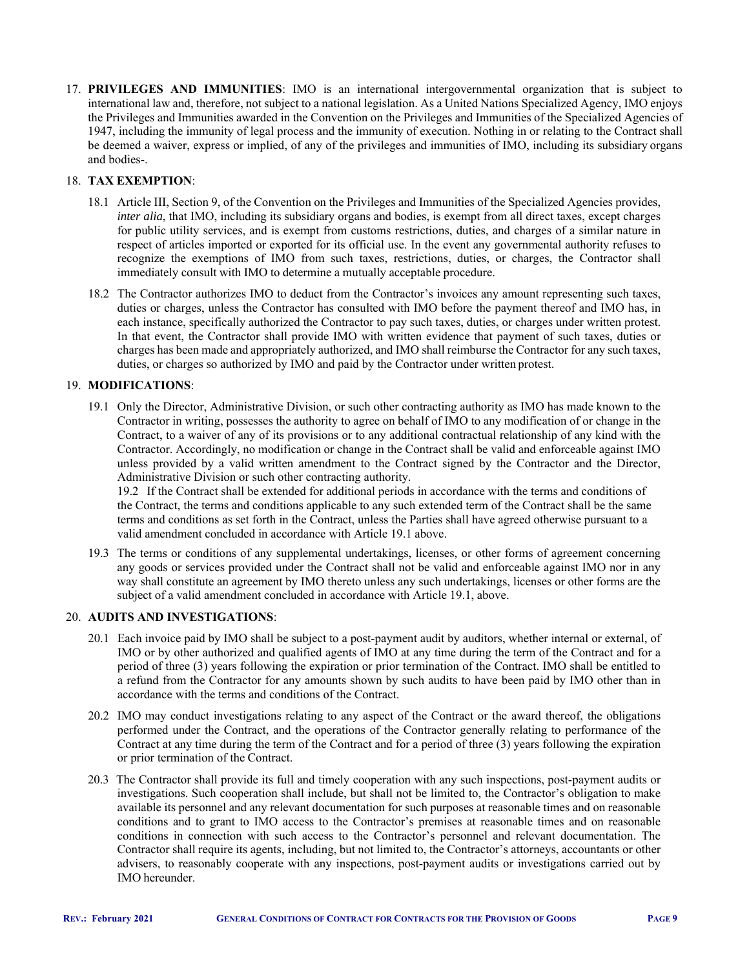17. **PRIVILEGES AND IMMUNITIES**: IMO is an international intergovernmental organization that is subject to international law and, therefore, not subject to a national legislation. As a United Nations Specialized Agency, IMO enjoys the Privileges and Immunities awarded in the Convention on the Privileges and Immunities of the Specialized Agencies of 1947, including the immunity of legal process and the immunity of execution. Nothing in or relating to the Contract shall be deemed a waiver, express or implied, of any of the privileges and immunities of IMO, including its subsidiary organs and bodies-.

### 18. **TAX EXEMPTION**:

- 18.1 Article III, Section 9, of the Convention on the Privileges and Immunities of the Specialized Agencies provides, *inter alia*, that IMO, including its subsidiary organs and bodies, is exempt from all direct taxes, except charges for public utility services, and is exempt from customs restrictions, duties, and charges of a similar nature in respect of articles imported or exported for its official use. In the event any governmental authority refuses to recognize the exemptions of IMO from such taxes, restrictions, duties, or charges, the Contractor shall immediately consult with IMO to determine a mutually acceptable procedure.
- 18.2 The Contractor authorizes IMO to deduct from the Contractor's invoices any amount representing such taxes, duties or charges, unless the Contractor has consulted with IMO before the payment thereof and IMO has, in each instance, specifically authorized the Contractor to pay such taxes, duties, or charges under written protest. In that event, the Contractor shall provide IMO with written evidence that payment of such taxes, duties or charges has been made and appropriately authorized, and IMO shall reimburse the Contractor for any such taxes, duties, or charges so authorized by IMO and paid by the Contractor under written protest.

#### 19. **MODIFICATIONS**:

19.1 Only the Director, Administrative Division, or such other contracting authority as IMO has made known to the Contractor in writing, possesses the authority to agree on behalf of IMO to any modification of or change in the Contract, to a waiver of any of its provisions or to any additional contractual relationship of any kind with the Contractor. Accordingly, no modification or change in the Contract shall be valid and enforceable against IMO unless provided by a valid written amendment to the Contract signed by the Contractor and the Director, Administrative Division or such other contracting authority.

19.2 If the Contract shall be extended for additional periods in accordance with the terms and conditions of the Contract, the terms and conditions applicable to any such extended term of the Contract shall be the same terms and conditions as set forth in the Contract, unless the Parties shall have agreed otherwise pursuant to a valid amendment concluded in accordance with Article 19.1 above.

19.3 The terms or conditions of any supplemental undertakings, licenses, or other forms of agreement concerning any goods or services provided under the Contract shall not be valid and enforceable against IMO nor in any way shall constitute an agreement by IMO thereto unless any such undertakings, licenses or other forms are the subject of a valid amendment concluded in accordance with Article 19.1, above.

#### 20. **AUDITS AND INVESTIGATIONS**:

- 20.1 Each invoice paid by IMO shall be subject to a post-payment audit by auditors, whether internal or external, of IMO or by other authorized and qualified agents of IMO at any time during the term of the Contract and for a period of three (3) years following the expiration or prior termination of the Contract. IMO shall be entitled to a refund from the Contractor for any amounts shown by such audits to have been paid by IMO other than in accordance with the terms and conditions of the Contract.
- 20.2 IMO may conduct investigations relating to any aspect of the Contract or the award thereof, the obligations performed under the Contract, and the operations of the Contractor generally relating to performance of the Contract at any time during the term of the Contract and for a period of three (3) years following the expiration or prior termination of the Contract.
- 20.3 The Contractor shall provide its full and timely cooperation with any such inspections, post-payment audits or investigations. Such cooperation shall include, but shall not be limited to, the Contractor's obligation to make available its personnel and any relevant documentation for such purposes at reasonable times and on reasonable conditions and to grant to IMO access to the Contractor's premises at reasonable times and on reasonable conditions in connection with such access to the Contractor's personnel and relevant documentation. The Contractor shall require its agents, including, but not limited to, the Contractor's attorneys, accountants or other advisers, to reasonably cooperate with any inspections, post-payment audits or investigations carried out by IMO hereunder.